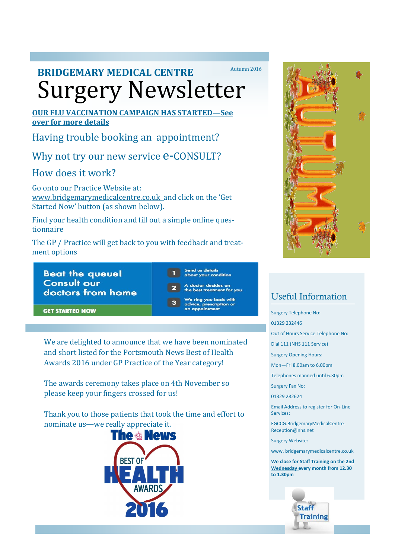# Surgery Newsletter **BRIDGEMARY MEDICAL CENTRE** Autumn 2016

#### **OUR FLU VACCINATION CAMPAIGN HAS STARTED—See over for more details**

Having trouble booking an appointment?

Why not try our new service  $e$ -CONSULT?

# How does it work?

Go onto our Practice Website at: www.bridgemarymedicalcentre.co.uk and click on the 'Get Started Now' button (as shown below).

Find your health condition and fill out a simple online questionnaire

The GP / Practice will get back to you with feedback and treatment options

**Beat the queue! Consult our** doctors from home Send us details about your condition

doctor decides on<br>le best treatment for you We ring you back with

advice, prescription or<br>an appointment

**GET STARTED NOW** 

We are delighted to announce that we have been nominated and short listed for the Portsmouth News Best of Health

Awards 2016 under GP Practice of the Year category!

The awards ceremony takes place on 4th November so please keep your fingers crossed for us!

Thank you to those patients that took the time and effort to nominate us—we really appreciate it.





# Useful Information

Surgery Telephone No:

01329 232446

Out of Hours Service Telephone No:

Dial 111 (NHS 111 Service)

Surgery Opening Hours:

Mon—Fri 8.00am to 6.00pm

Telephones manned until 6.30pm

Surgery Fax No:

01329 282624

Email Address to register for On-Line Services:

FGCCG.BridgemaryMedicalCentre-Reception@nhs.net

Surgery Website:

www. bridgemarymedicalcentre.co.uk

**We close for Staff Training on the 2nd Wednesday every month from 12.30 to 1.30pm**